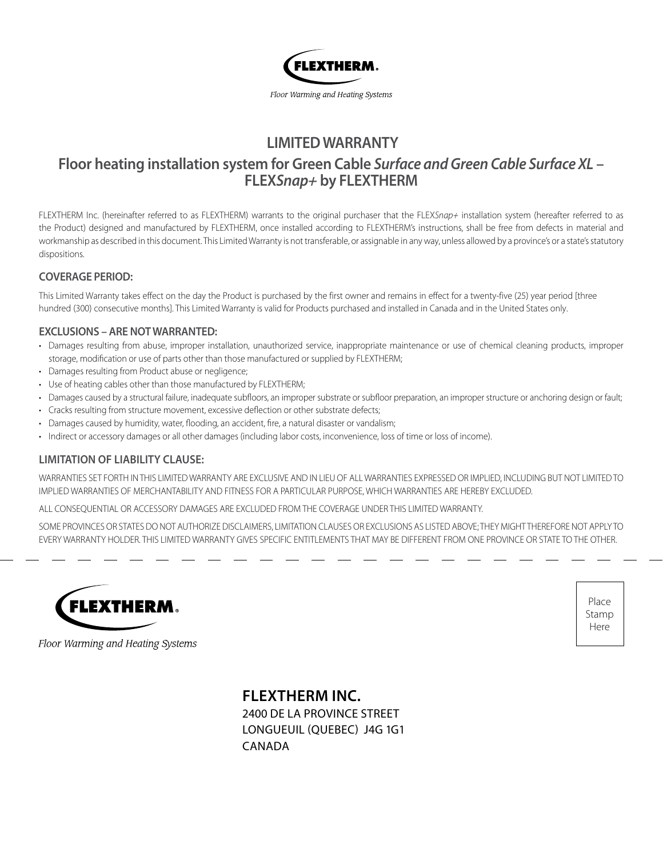

# **LIMITED WARRANTY**

# **Floor heating installation system for Green Cable** *Surface and Green Cable Surface XL* **– FLEX***Snap+* **by FLEXTHERM**

FLEXTHERM Inc. (hereinafter referred to as FLEXTHERM) warrants to the original purchaser that the FLEX*Snap+* installation system (hereafter referred to as the Product) designed and manufactured by FLEXTHERM, once installed according to FLEXTHERM's instructions, shall be free from defects in material and workmanship as described in this document. This Limited Warranty is not transferable, or assignable in any way, unless allowed by a province's or a state's statutory dispositions.

#### **COVERAGE PERIOD:**

This Limited Warranty takes effect on the day the Product is purchased by the first owner and remains in effect for a twenty-five (25) year period [three hundred (300) consecutive months]. This Limited Warranty is valid for Products purchased and installed in Canada and in the United States only.

#### **EXCLUSIONS – ARE NOT WARRANTED:**

- Damages resulting from abuse, improper installation, unauthorized service, inappropriate maintenance or use of chemical cleaning products, improper storage, modification or use of parts other than those manufactured or supplied by FLEXTHERM;
- Damages resulting from Product abuse or negligence;
- Use of heating cables other than those manufactured by FLEXTHERM;
- Damages caused by a structural failure, inadequate subfloors, an improper substrate or subfloor preparation, an improper structure or anchoring design or fault;
- Cracks resulting from structure movement, excessive deflection or other substrate defects;
- Damages caused by humidity, water, flooding, an accident, fire, a natural disaster or vandalism;
- Indirect or accessory damages or all other damages (including labor costs, inconvenience, loss of time or loss of income).

#### **LIMITATION OF LIABILITY CLAUSE:**

WARRANTIES SET FORTH IN THIS LIMITED WARRANTY ARE EXCLUSIVE AND IN LIEU OF ALL WARRANTIES EXPRESSED OR IMPLIED, INCLUDING BUT NOT LIMITED TO IMPLIED WARRANTIES OF MERCHANTABILITY AND FITNESS FOR A PARTICULAR PURPOSE, WHICH WARRANTIES ARE HEREBY EXCLUDED.

ALL CONSEQUENTIAL OR ACCESSORY DAMAGES ARE EXCLUDED FROM THE COVERAGE UNDER THIS LIMITED WARRANTY.

SOME PROVINCES OR STATES DO NOT AUTHORIZE DISCLAIMERS, LIMITATION CLAUSES OR EXCLUSIONS AS LISTED ABOVE; THEY MIGHT THEREFORE NOT APPLY TO EVERY WARRANTY HOLDER. THIS LIMITED WARRANTY GIVES SPECIFIC ENTITLEMENTS THAT MAY BE DIFFERENT FROM ONE PROVINCE OR STATE TO THE OTHER.



Place Stamp Here

Floor Warming and Heating Systems

**FLEXTHERM INC.** 2400 DE LA PROVINCE STREET

LONGUEUIL (QUEBEC) J4G 1G1 CANADA